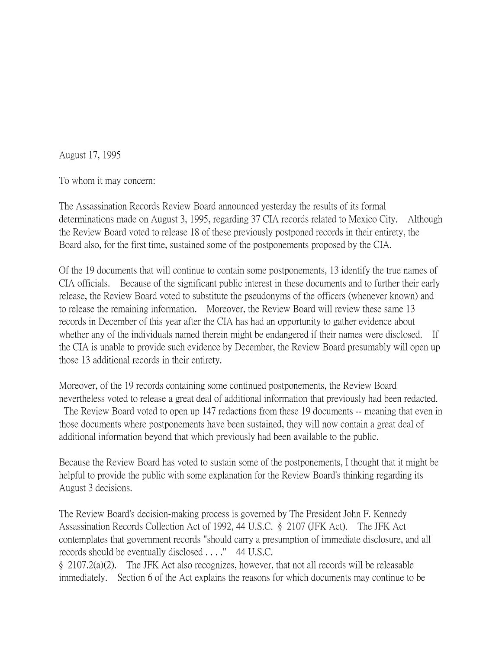August 17, 1995

To whom it may concern:

The Assassination Records Review Board announced yesterday the results of its formal determinations made on August 3, 1995, regarding 37 CIA records related to Mexico City. Although the Review Board voted to release 18 of these previously postponed records in their entirety, the Board also, for the first time, sustained some of the postponements proposed by the CIA.

Of the 19 documents that will continue to contain some postponements, 13 identify the true names of CIA officials. Because of the significant public interest in these documents and to further their early release, the Review Board voted to substitute the pseudonyms of the officers (whenever known) and to release the remaining information. Moreover, the Review Board will review these same 13 records in December of this year after the CIA has had an opportunity to gather evidence about whether any of the individuals named therein might be endangered if their names were disclosed. If the CIA is unable to provide such evidence by December, the Review Board presumably will open up those 13 additional records in their entirety.

Moreover, of the 19 records containing some continued postponements, the Review Board nevertheless voted to release a great deal of additional information that previously had been redacted.

The Review Board voted to open up 147 redactions from these 19 documents -- meaning that even in those documents where postponements have been sustained, they will now contain a great deal of additional information beyond that which previously had been available to the public.

Because the Review Board has voted to sustain some of the postponements, I thought that it might be helpful to provide the public with some explanation for the Review Board's thinking regarding its August 3 decisions.

The Review Board's decision-making process is governed by The President John F. Kennedy Assassination Records Collection Act of 1992, 44 U.S.C. § 2107 (JFK Act). The JFK Act contemplates that government records "should carry a presumption of immediate disclosure, and all records should be eventually disclosed . . . ." 44 U.S.C.

§ 2107.2(a)(2). The JFK Act also recognizes, however, that not all records will be releasable immediately. Section 6 of the Act explains the reasons for which documents may continue to be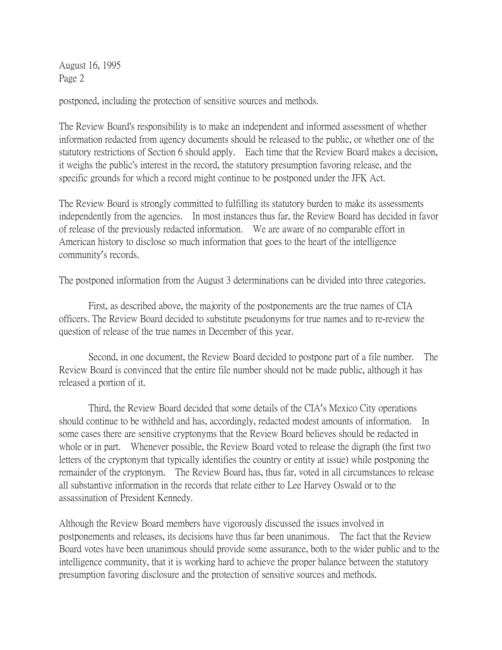August 16, 1995 Page 2

postponed, including the protection of sensitive sources and methods.

The Review Board's responsibility is to make an independent and informed assessment of whether information redacted from agency documents should be released to the public, or whether one of the statutory restrictions of Section 6 should apply. Each time that the Review Board makes a decision, it weighs the public's interest in the record, the statutory presumption favoring release, and the specific grounds for which a record might continue to be postponed under the JFK Act.

The Review Board is strongly committed to fulfilling its statutory burden to make its assessments independently from the agencies. In most instances thus far, the Review Board has decided in favor of release of the previously redacted information. We are aware of no comparable effort in American history to disclose so much information that goes to the heart of the intelligence community's records.

The postponed information from the August 3 determinations can be divided into three categories.

First, as described above, the majority of the postponements are the true names of CIA officers. The Review Board decided to substitute pseudonyms for true names and to re-review the question of release of the true names in December of this year.

Second, in one document, the Review Board decided to postpone part of a file number. The Review Board is convinced that the entire file number should not be made public, although it has released a portion of it.

Third, the Review Board decided that some details of the CIA's Mexico City operations should continue to be withheld and has, accordingly, redacted modest amounts of information. In some cases there are sensitive cryptonyms that the Review Board believes should be redacted in whole or in part. Whenever possible, the Review Board voted to release the digraph (the first two letters of the cryptonym that typically identifies the country or entity at issue) while postponing the remainder of the cryptonym. The Review Board has, thus far, voted in all circumstances to release all substantive information in the records that relate either to Lee Harvey Oswald or to the assassination of President Kennedy.

Although the Review Board members have vigorously discussed the issues involved in postponements and releases, its decisions have thus far been unanimous. The fact that the Review Board votes have been unanimous should provide some assurance, both to the wider public and to the intelligence community, that it is working hard to achieve the proper balance between the statutory presumption favoring disclosure and the protection of sensitive sources and methods.